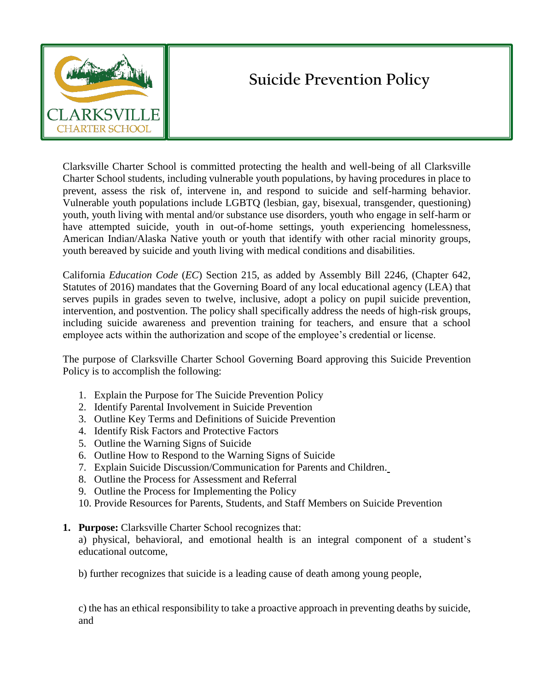

# **Suicide Prevention Policy**

Clarksville Charter School is committed protecting the health and well-being of all Clarksville Charter School students, including vulnerable youth populations, by having procedures in place to prevent, assess the risk of, intervene in, and respond to suicide and self-harming behavior. Vulnerable youth populations include LGBTQ (lesbian, gay, bisexual, transgender, questioning) youth, youth living with mental and/or substance use disorders, youth who engage in self-harm or have attempted suicide, youth in out-of-home settings, youth experiencing homelessness, American Indian/Alaska Native youth or youth that identify with other racial minority groups, youth bereaved by suicide and youth living with medical conditions and disabilities.

California *Education Code* (*EC*) Section 215, as added by Assembly Bill 2246, (Chapter 642, Statutes of 2016) mandates that the Governing Board of any local educational agency (LEA) that serves pupils in grades seven to twelve, inclusive, adopt a policy on pupil suicide prevention, intervention, and postvention. The policy shall specifically address the needs of high-risk groups, including suicide awareness and prevention training for teachers, and ensure that a school employee acts within the authorization and scope of the employee's credential or license.

The purpose of Clarksville Charter School Governing Board approving this Suicide Prevention Policy is to accomplish the following:

- 1. Explain the Purpose for The Suicide Prevention Policy
- 2. Identify Parental Involvement in Suicide Prevention
- 3. Outline Key Terms and Definitions of Suicide Prevention
- 4. Identify Risk Factors and Protective Factors
- 5. Outline the Warning Signs of Suicide
- 6. Outline How to Respond to the Warning Signs of Suicide
- 7. Explain Suicide Discussion/Communication for Parents and Children.
- 8. Outline the Process for Assessment and Referral
- 9. Outline the Process for Implementing the Policy
- 10. Provide Resources for Parents, Students, and Staff Members on Suicide Prevention
- **1. Purpose:** Clarksville Charter School recognizes that:

a) physical, behavioral, and emotional health is an integral component of a student's educational outcome,

b) further recognizes that suicide is a leading cause of death among young people,

c) the has an ethical responsibility to take a proactive approach in preventing deaths by suicide, and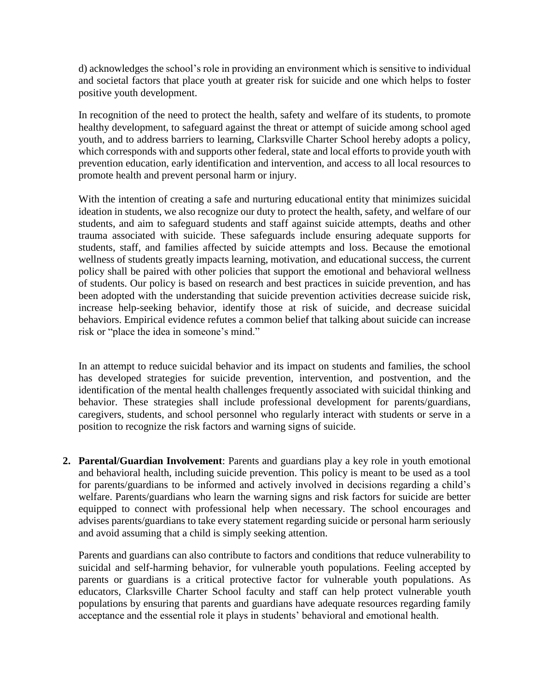d) acknowledges the school's role in providing an environment which is sensitive to individual and societal factors that place youth at greater risk for suicide and one which helps to foster positive youth development.

In recognition of the need to protect the health, safety and welfare of its students, to promote healthy development, to safeguard against the threat or attempt of suicide among school aged youth, and to address barriers to learning, Clarksville Charter School hereby adopts a policy, which corresponds with and supports other federal, state and local efforts to provide youth with prevention education, early identification and intervention, and access to all local resources to promote health and prevent personal harm or injury.

With the intention of creating a safe and nurturing educational entity that minimizes suicidal ideation in students, we also recognize our duty to protect the health, safety, and welfare of our students, and aim to safeguard students and staff against suicide attempts, deaths and other trauma associated with suicide. These safeguards include ensuring adequate supports for students, staff, and families affected by suicide attempts and loss. Because the emotional wellness of students greatly impacts learning, motivation, and educational success, the current policy shall be paired with other policies that support the emotional and behavioral wellness of students. Our policy is based on research and best practices in suicide prevention, and has been adopted with the understanding that suicide prevention activities decrease suicide risk, increase help-seeking behavior, identify those at risk of suicide, and decrease suicidal behaviors. Empirical evidence refutes a common belief that talking about suicide can increase risk or "place the idea in someone's mind."

In an attempt to reduce suicidal behavior and its impact on students and families, the school has developed strategies for suicide prevention, intervention, and postvention, and the identification of the mental health challenges frequently associated with suicidal thinking and behavior. These strategies shall include professional development for parents/guardians, caregivers, students, and school personnel who regularly interact with students or serve in a position to recognize the risk factors and warning signs of suicide.

**2. Parental/Guardian Involvement**: Parents and guardians play a key role in youth emotional and behavioral health, including suicide prevention. This policy is meant to be used as a tool for parents/guardians to be informed and actively involved in decisions regarding a child's welfare. Parents/guardians who learn the warning signs and risk factors for suicide are better equipped to connect with professional help when necessary. The school encourages and advises parents/guardians to take every statement regarding suicide or personal harm seriously and avoid assuming that a child is simply seeking attention.

Parents and guardians can also contribute to factors and conditions that reduce vulnerability to suicidal and self-harming behavior, for vulnerable youth populations. Feeling accepted by parents or guardians is a critical protective factor for vulnerable youth populations. As educators, Clarksville Charter School faculty and staff can help protect vulnerable youth populations by ensuring that parents and guardians have adequate resources regarding family acceptance and the essential role it plays in students' behavioral and emotional health.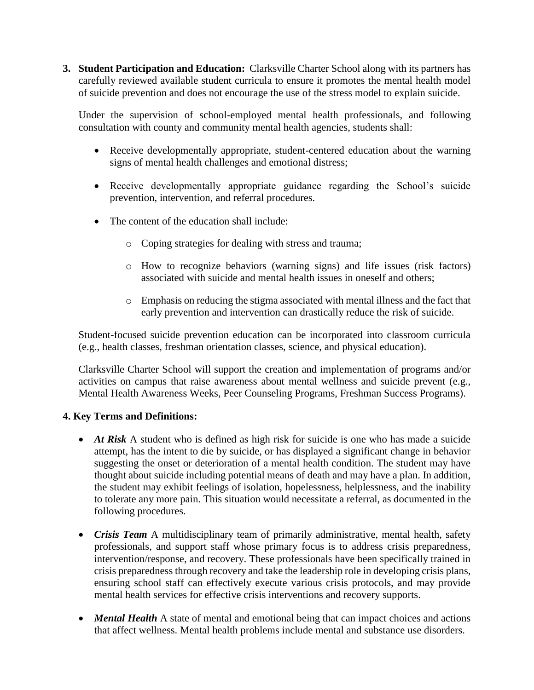**3. Student Participation and Education:** Clarksville Charter School along with its partners has carefully reviewed available student curricula to ensure it promotes the mental health model of suicide prevention and does not encourage the use of the stress model to explain suicide.

Under the supervision of school-employed mental health professionals, and following consultation with county and community mental health agencies, students shall:

- Receive developmentally appropriate, student-centered education about the warning signs of mental health challenges and emotional distress;
- Receive developmentally appropriate guidance regarding the School's suicide prevention, intervention, and referral procedures.
- The content of the education shall include:
	- o Coping strategies for dealing with stress and trauma;
	- o How to recognize behaviors (warning signs) and life issues (risk factors) associated with suicide and mental health issues in oneself and others;
	- o Emphasis on reducing the stigma associated with mental illness and the fact that early prevention and intervention can drastically reduce the risk of suicide.

Student-focused suicide prevention education can be incorporated into classroom curricula (e.g., health classes, freshman orientation classes, science, and physical education).

Clarksville Charter School will support the creation and implementation of programs and/or activities on campus that raise awareness about mental wellness and suicide prevent (e.g., Mental Health Awareness Weeks, Peer Counseling Programs, Freshman Success Programs).

# **4. Key Terms and Definitions:**

- *At Risk* A student who is defined as high risk for suicide is one who has made a suicide attempt, has the intent to die by suicide, or has displayed a significant change in behavior suggesting the onset or deterioration of a mental health condition. The student may have thought about suicide including potential means of death and may have a plan. In addition, the student may exhibit feelings of isolation, hopelessness, helplessness, and the inability to tolerate any more pain. This situation would necessitate a referral, as documented in the following procedures.
- *Crisis Team* A multidisciplinary team of primarily administrative, mental health, safety professionals, and support staff whose primary focus is to address crisis preparedness, intervention/response, and recovery. These professionals have been specifically trained in crisis preparedness through recovery and take the leadership role in developing crisis plans, ensuring school staff can effectively execute various crisis protocols, and may provide mental health services for effective crisis interventions and recovery supports.
- *Mental Health* A state of mental and emotional being that can impact choices and actions that affect wellness. Mental health problems include mental and substance use disorders.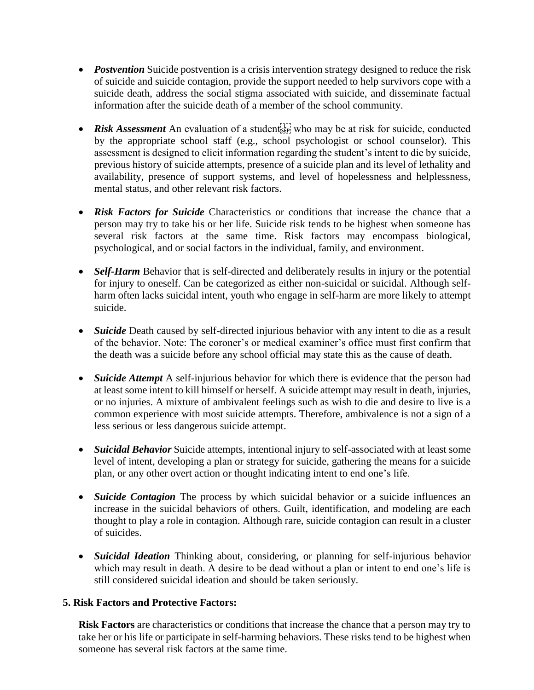- *Postvention* Suicide postvention is a crisis intervention strategy designed to reduce the risk of suicide and suicide contagion, provide the support needed to help survivors cope with a suicide death, address the social stigma associated with suicide, and disseminate factual information after the suicide death of a member of the school community.
- Risk Assessment An evaluation of a students who may be at risk for suicide, conducted by the appropriate school staff (e.g., school psychologist or school counselor). This assessment is designed to elicit information regarding the student's intent to die by suicide, previous history of suicide attempts, presence of a suicide plan and its level of lethality and availability, presence of support systems, and level of hopelessness and helplessness, mental status, and other relevant risk factors.
- *Risk Factors for Suicide* Characteristics or conditions that increase the chance that a person may try to take his or her life. Suicide risk tends to be highest when someone has several risk factors at the same time. Risk factors may encompass biological, psychological, and or social factors in the individual, family, and environment.
- *Self-Harm* Behavior that is self-directed and deliberately results in injury or the potential for injury to oneself. Can be categorized as either non-suicidal or suicidal. Although selfharm often lacks suicidal intent, youth who engage in self-harm are more likely to attempt suicide.
- *Suicide* Death caused by self-directed injurious behavior with any intent to die as a result of the behavior. Note: The coroner's or medical examiner's office must first confirm that the death was a suicide before any school official may state this as the cause of death.
- *Suicide Attempt* A self-injurious behavior for which there is evidence that the person had at least some intent to kill himself or herself. A suicide attempt may result in death, injuries, or no injuries. A mixture of ambivalent feelings such as wish to die and desire to live is a common experience with most suicide attempts. Therefore, ambivalence is not a sign of a less serious or less dangerous suicide attempt.
- *Suicidal Behavior* Suicide attempts, intentional injury to self-associated with at least some level of intent, developing a plan or strategy for suicide, gathering the means for a suicide plan, or any other overt action or thought indicating intent to end one's life.
- *Suicide Contagion* The process by which suicidal behavior or a suicide influences an increase in the suicidal behaviors of others. Guilt, identification, and modeling are each thought to play a role in contagion. Although rare, suicide contagion can result in a cluster of suicides.
- *Suicidal Ideation* Thinking about, considering, or planning for self-injurious behavior which may result in death. A desire to be dead without a plan or intent to end one's life is still considered suicidal ideation and should be taken seriously.

# **5. Risk Factors and Protective Factors:**

**Risk Factors** are characteristics or conditions that increase the chance that a person may try to take her or his life or participate in self-harming behaviors. These risks tend to be highest when someone has several risk factors at the same time.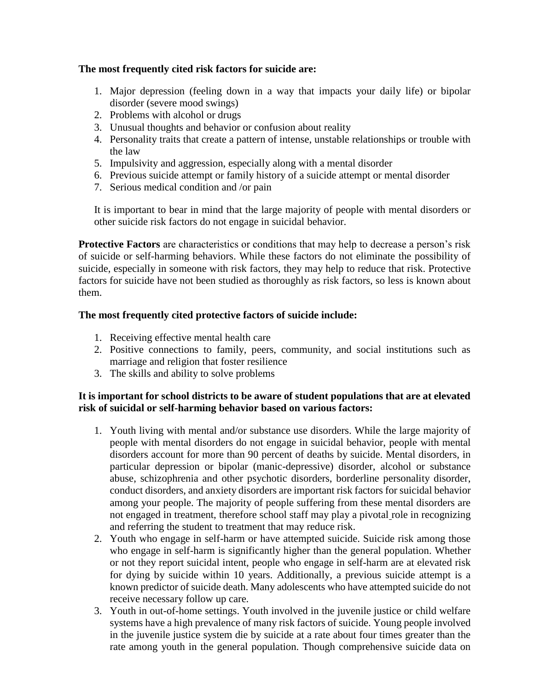# **The most frequently cited risk factors for suicide are:**

- 1. Major depression (feeling down in a way that impacts your daily life) or bipolar disorder (severe mood swings)
- 2. Problems with alcohol or drugs
- 3. Unusual thoughts and behavior or confusion about reality
- 4. Personality traits that create a pattern of intense, unstable relationships or trouble with the law
- 5. Impulsivity and aggression, especially along with a mental disorder
- 6. Previous suicide attempt or family history of a suicide attempt or mental disorder
- 7. Serious medical condition and /or pain

It is important to bear in mind that the large majority of people with mental disorders or other suicide risk factors do not engage in suicidal behavior.

**Protective Factors** are characteristics or conditions that may help to decrease a person's risk of suicide or self-harming behaviors. While these factors do not eliminate the possibility of suicide, especially in someone with risk factors, they may help to reduce that risk. Protective factors for suicide have not been studied as thoroughly as risk factors, so less is known about them.

## **The most frequently cited protective factors of suicide include:**

- 1. Receiving effective mental health care
- 2. Positive connections to family, peers, community, and social institutions such as marriage and religion that foster resilience
- 3. The skills and ability to solve problems

## **It is important for school districts to be aware of student populations that are at elevated risk of suicidal or self-harming behavior based on various factors:**

- 1. Youth living with mental and/or substance use disorders. While the large majority of people with mental disorders do not engage in suicidal behavior, people with mental disorders account for more than 90 percent of deaths by suicide. Mental disorders, in particular depression or bipolar (manic-depressive) disorder, alcohol or substance abuse, schizophrenia and other psychotic disorders, borderline personality disorder, conduct disorders, and anxiety disorders are important risk factors for suicidal behavior among your people. The majority of people suffering from these mental disorders are not engaged in treatment, therefore school staff may play a pivotal role in recognizing and referring the student to treatment that may reduce risk.
- 2. Youth who engage in self-harm or have attempted suicide. Suicide risk among those who engage in self-harm is significantly higher than the general population. Whether or not they report suicidal intent, people who engage in self-harm are at elevated risk for dying by suicide within 10 years. Additionally, a previous suicide attempt is a known predictor of suicide death. Many adolescents who have attempted suicide do not receive necessary follow up care.
- 3. Youth in out-of-home settings. Youth involved in the juvenile justice or child welfare systems have a high prevalence of many risk factors of suicide. Young people involved in the juvenile justice system die by suicide at a rate about four times greater than the rate among youth in the general population. Though comprehensive suicide data on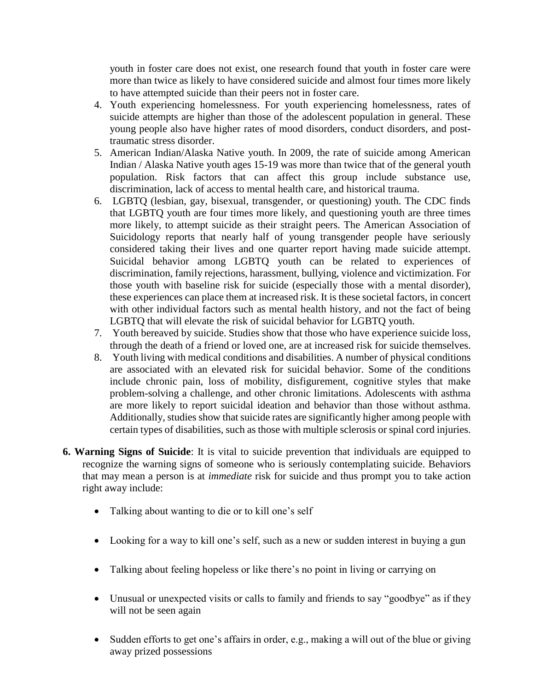youth in foster care does not exist, one research found that youth in foster care were more than twice as likely to have considered suicide and almost four times more likely to have attempted suicide than their peers not in foster care.

- 4. Youth experiencing homelessness. For youth experiencing homelessness, rates of suicide attempts are higher than those of the adolescent population in general. These young people also have higher rates of mood disorders, conduct disorders, and posttraumatic stress disorder.
- 5. American Indian/Alaska Native youth. In 2009, the rate of suicide among American Indian / Alaska Native youth ages 15-19 was more than twice that of the general youth population. Risk factors that can affect this group include substance use, discrimination, lack of access to mental health care, and historical trauma.
- 6. LGBTQ (lesbian, gay, bisexual, transgender, or questioning) youth. The CDC finds that LGBTQ youth are four times more likely, and questioning youth are three times more likely, to attempt suicide as their straight peers. The American Association of Suicidology reports that nearly half of young transgender people have seriously considered taking their lives and one quarter report having made suicide attempt. Suicidal behavior among LGBTQ youth can be related to experiences of discrimination, family rejections, harassment, bullying, violence and victimization. For those youth with baseline risk for suicide (especially those with a mental disorder), these experiences can place them at increased risk. It is these societal factors, in concert with other individual factors such as mental health history, and not the fact of being LGBTQ that will elevate the risk of suicidal behavior for LGBTQ youth.
- 7. Youth bereaved by suicide. Studies show that those who have experience suicide loss, through the death of a friend or loved one, are at increased risk for suicide themselves.
- 8. Youth living with medical conditions and disabilities. A number of physical conditions are associated with an elevated risk for suicidal behavior. Some of the conditions include chronic pain, loss of mobility, disfigurement, cognitive styles that make problem-solving a challenge, and other chronic limitations. Adolescents with asthma are more likely to report suicidal ideation and behavior than those without asthma. Additionally, studies show that suicide rates are significantly higher among people with certain types of disabilities, such as those with multiple sclerosis or spinal cord injuries.
- **6. Warning Signs of Suicide**: It is vital to suicide prevention that individuals are equipped to recognize the warning signs of someone who is seriously contemplating suicide. Behaviors that may mean a person is at *immediate* risk for suicide and thus prompt you to take action right away include:
	- Talking about wanting to die or to kill one's self
	- Looking for a way to kill one's self, such as a new or sudden interest in buying a gun
	- Talking about feeling hopeless or like there's no point in living or carrying on
	- Unusual or unexpected visits or calls to family and friends to say "goodbye" as if they will not be seen again
	- Sudden efforts to get one's affairs in order, e.g., making a will out of the blue or giving away prized possessions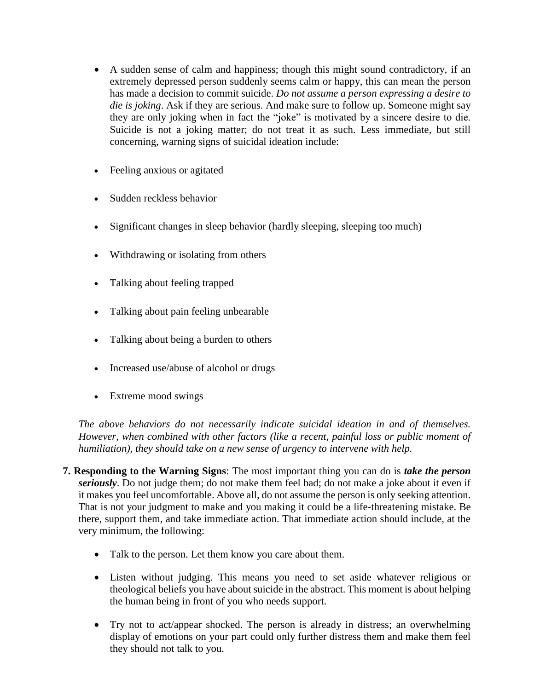- A sudden sense of calm and happiness; though this might sound contradictory, if an extremely depressed person suddenly seems calm or happy, this can mean the person has made a decision to commit suicide. *Do not assume a person expressing a desire to die is joking*. Ask if they are serious. And make sure to follow up. Someone might say they are only joking when in fact the "joke" is motivated by a sincere desire to die. Suicide is not a joking matter; do not treat it as such. Less immediate, but still concerning, warning signs of suicidal ideation include:
- Feeling anxious or agitated
- Sudden reckless behavior
- Significant changes in sleep behavior (hardly sleeping, sleeping too much)
- Withdrawing or isolating from others
- Talking about feeling trapped
- Talking about pain feeling unbearable
- Talking about being a burden to others
- Increased use/abuse of alcohol or drugs
- Extreme mood swings

*The above behaviors do not necessarily indicate suicidal ideation in and of themselves. However, when combined with other factors (like a recent, painful loss or public moment of humiliation), they should take on a new sense of urgency to intervene with help.*

- **7. Responding to the Warning Signs**: The most important thing you can do is *take the person seriously*. Do not judge them; do not make them feel bad; do not make a joke about it even if it makes you feel uncomfortable. Above all, do not assume the person is only seeking attention. That is not your judgment to make and you making it could be a life-threatening mistake. Be there, support them, and take immediate action. That immediate action should include, at the very minimum, the following:
	- Talk to the person. Let them know you care about them.
	- Listen without judging. This means you need to set aside whatever religious or theological beliefs you have about suicide in the abstract. This moment is about helping the human being in front of you who needs support.
	- Try not to act/appear shocked. The person is already in distress; an overwhelming display of emotions on your part could only further distress them and make them feel they should not talk to you.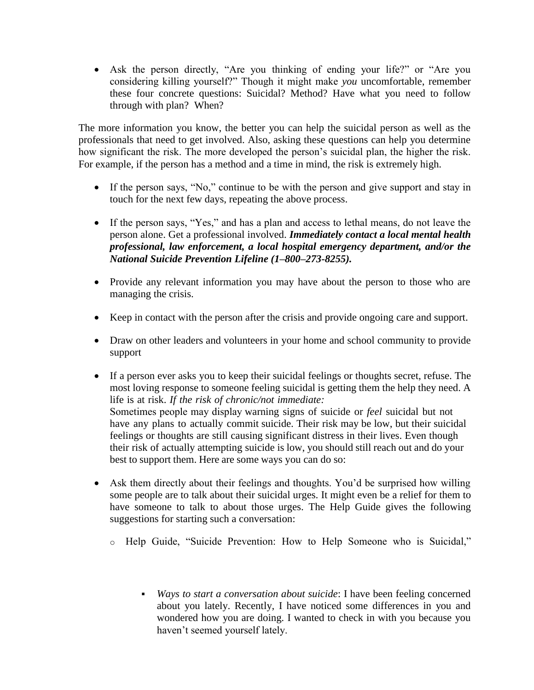Ask the person directly, "Are you thinking of ending your life?" or "Are you considering killing yourself?" Though it might make *you* uncomfortable, remember these four concrete questions: Suicidal? Method? Have what you need to follow through with plan? When?

The more information you know, the better you can help the suicidal person as well as the professionals that need to get involved. Also, asking these questions can help you determine how significant the risk. The more developed the person's suicidal plan, the higher the risk. For example, if the person has a method and a time in mind, the risk is extremely high.

- If the person says, "No," continue to be with the person and give support and stay in touch for the next few days, repeating the above process.
- If the person says, "Yes," and has a plan and access to lethal means, do not leave the person alone. Get a professional involved. *Immediately contact a local mental health professional, law enforcement, a local hospital emergency department, and/or the National Suicide Prevention Lifeline (1–800–273-8255).*
- Provide any relevant information you may have about the person to those who are managing the crisis.
- Keep in contact with the person after the crisis and provide ongoing care and support.
- Draw on other leaders and volunteers in your home and school community to provide support
- If a person ever asks you to keep their suicidal feelings or thoughts secret, refuse. The most loving response to someone feeling suicidal is getting them the help they need. A life is at risk. *If the risk of chronic/not immediate:*  Sometimes people may display warning signs of suicide or *feel* suicidal but not have any plans to actually commit suicide. Their risk may be low, but their suicidal feelings or thoughts are still causing significant distress in their lives. Even though their risk of actually attempting suicide is low, you should still reach out and do your best to support them. Here are some ways you can do so:
- Ask them directly about their feelings and thoughts. You'd be surprised how willing some people are to talk about their suicidal urges. It might even be a relief for them to have someone to talk to about those urges. The Help Guide gives the following suggestions for starting such a conversation:
	- o Help Guide, "Suicide Prevention: How to Help Someone who is Suicidal," https://www.helpguide.org/articles/suicide-prevention/suicide-prevention.htm
		- *Ways to start a conversation about suicide*: I have been feeling concerned about you lately. Recently, I have noticed some differences in you and wondered how you are doing. I wanted to check in with you because you haven't seemed yourself lately.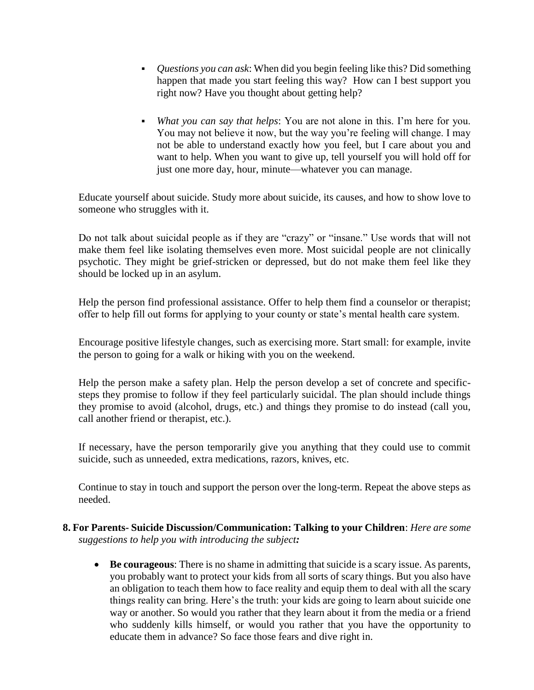- *Questions you can ask*: When did you begin feeling like this? Did something happen that made you start feeling this way? How can I best support you right now? Have you thought about getting help?
- *What you can say that helps*: You are not alone in this. I'm here for you. You may not believe it now, but the way you're feeling will change. I may not be able to understand exactly how you feel, but I care about you and want to help. When you want to give up, tell yourself you will hold off for just one more day, hour, minute—whatever you can manage.

Educate yourself about suicide. Study more about suicide, its causes, and how to show love to someone who struggles with it.

Do not talk about suicidal people as if they are "crazy" or "insane." Use words that will not make them feel like isolating themselves even more. Most suicidal people are not clinically psychotic. They might be grief-stricken or depressed, but do not make them feel like they should be locked up in an asylum.

Help the person find professional assistance. Offer to help them find a counselor or therapist; offer to help fill out forms for applying to your county or state's mental health care system.

Encourage positive lifestyle changes, such as exercising more. Start small: for example, invite the person to going for a walk or hiking with you on the weekend.

Help the person make a safety plan. Help the person develop a set of concrete and specificsteps they promise to follow if they feel particularly suicidal. The plan should include things they promise to avoid (alcohol, drugs, etc.) and things they promise to do instead (call you, call another friend or therapist, etc.).

If necessary, have the person temporarily give you anything that they could use to commit suicide, such as unneeded, extra medications, razors, knives, etc.

Continue to stay in touch and support the person over the long-term. Repeat the above steps as needed.

- **8. For Parents- Suicide Discussion/Communication: Talking to your Children**: *Here are some suggestions to help you with introducing the subject:*
	- **Be courageous**: There is no shame in admitting that suicide is a scary issue. As parents, you probably want to protect your kids from all sorts of scary things. But you also have an obligation to teach them how to face reality and equip them to deal with all the scary things reality can bring. Here's the truth: your kids are going to learn about suicide one way or another. So would you rather that they learn about it from the media or a friend who suddenly kills himself, or would you rather that you have the opportunity to educate them in advance? So face those fears and dive right in.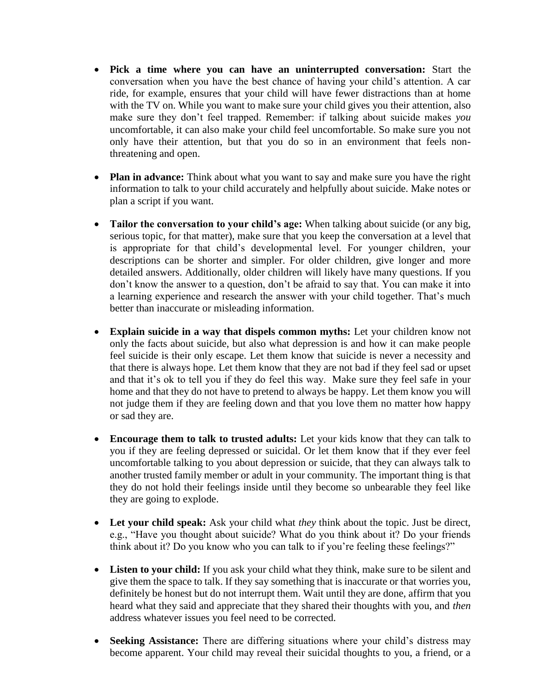- **Pick a time where you can have an uninterrupted conversation:** Start the conversation when you have the best chance of having your child's attention. A car ride, for example, ensures that your child will have fewer distractions than at home with the TV on. While you want to make sure your child gives you their attention, also make sure they don't feel trapped. Remember: if talking about suicide makes *you*  uncomfortable, it can also make your child feel uncomfortable. So make sure you not only have their attention, but that you do so in an environment that feels nonthreatening and open.
- **Plan in advance:** Think about what you want to say and make sure you have the right information to talk to your child accurately and helpfully about suicide. Make notes or plan a script if you want.
- **Tailor the conversation to your child's age:** When talking about suicide (or any big, serious topic, for that matter), make sure that you keep the conversation at a level that is appropriate for that child's developmental level. For younger children, your descriptions can be shorter and simpler. For older children, give longer and more detailed answers. Additionally, older children will likely have many questions. If you don't know the answer to a question, don't be afraid to say that. You can make it into a learning experience and research the answer with your child together. That's much better than inaccurate or misleading information.
- **Explain suicide in a way that dispels common myths:** Let your children know not only the facts about suicide, but also what depression is and how it can make people feel suicide is their only escape. Let them know that suicide is never a necessity and that there is always hope. Let them know that they are not bad if they feel sad or upset and that it's ok to tell you if they do feel this way. Make sure they feel safe in your home and that they do not have to pretend to always be happy. Let them know you will not judge them if they are feeling down and that you love them no matter how happy or sad they are.
- **Encourage them to talk to trusted adults:** Let your kids know that they can talk to you if they are feeling depressed or suicidal. Or let them know that if they ever feel uncomfortable talking to you about depression or suicide, that they can always talk to another trusted family member or adult in your community. The important thing is that they do not hold their feelings inside until they become so unbearable they feel like they are going to explode.
- **Let your child speak:** Ask your child what *they* think about the topic. Just be direct, e.g., "Have you thought about suicide? What do you think about it? Do your friends think about it? Do you know who you can talk to if you're feeling these feelings?"
- **Listen to your child:** If you ask your child what they think, make sure to be silent and give them the space to talk. If they say something that is inaccurate or that worries you, definitely be honest but do not interrupt them. Wait until they are done, affirm that you heard what they said and appreciate that they shared their thoughts with you, and *then*  address whatever issues you feel need to be corrected.
- **Seeking Assistance:** There are differing situations where your child's distress may become apparent. Your child may reveal their suicidal thoughts to you, a friend, or a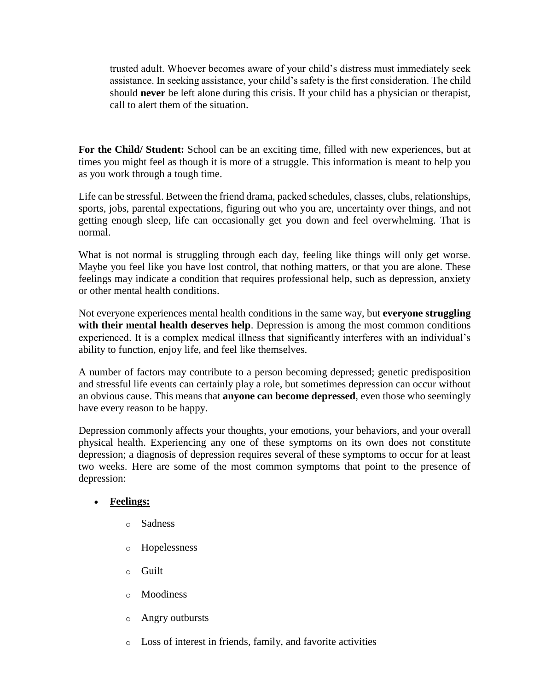trusted adult. Whoever becomes aware of your child's distress must immediately seek assistance. In seeking assistance, your child's safety is the first consideration. The child should **never** be left alone during this crisis. If your child has a physician or therapist, call to alert them of the situation.

**For the Child/ Student:** School can be an exciting time, filled with new experiences, but at times you might feel as though it is more of a struggle. This information is meant to help you as you work through a tough time.

Life can be stressful. Between the friend drama, packed schedules, classes, clubs, relationships, sports, jobs, parental expectations, figuring out who you are, uncertainty over things, and not getting enough sleep, life can occasionally get you down and feel overwhelming. That is normal.

What is not normal is struggling through each day, feeling like things will only get worse. Maybe you feel like you have lost control, that nothing matters, or that you are alone. These feelings may indicate a condition that requires professional help, such as depression, anxiety or other mental health conditions.

Not everyone experiences mental health conditions in the same way, but **everyone struggling with their mental health deserves help**. Depression is among the most common conditions experienced. It is a complex medical illness that significantly interferes with an individual's ability to function, enjoy life, and feel like themselves.

A number of factors may contribute to a person becoming depressed; genetic predisposition and stressful life events can certainly play a role, but sometimes depression can occur without an obvious cause. This means that **anyone can become depressed**, even those who seemingly have every reason to be happy.

Depression commonly affects your thoughts, your emotions, your behaviors, and your overall physical health. Experiencing any one of these symptoms on its own does not constitute depression; a diagnosis of depression requires several of these symptoms to occur for at least two weeks. Here are some of the most common symptoms that point to the presence of depression:

# **Feelings:**

- o Sadness
- o Hopelessness
- o Guilt
- o Moodiness
- o Angry outbursts
- o Loss of interest in friends, family, and favorite activities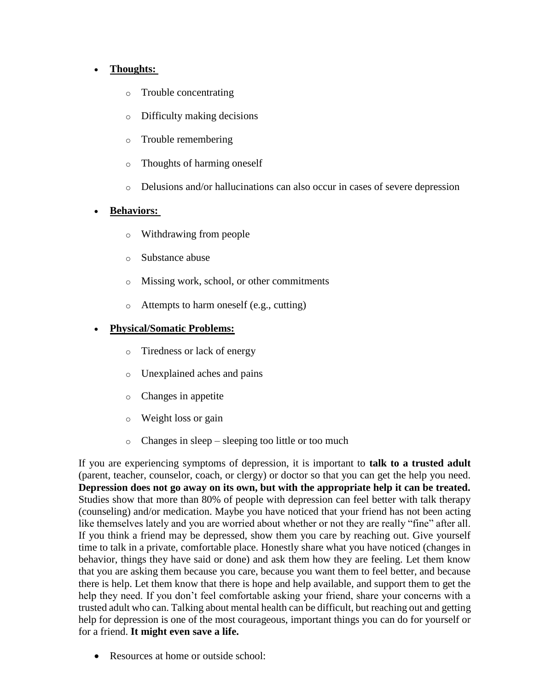# **Thoughts:**

- o Trouble concentrating
- o Difficulty making decisions
- o Trouble remembering
- o Thoughts of harming oneself
- o Delusions and/or hallucinations can also occur in cases of severe depression

# **Behaviors:**

- o Withdrawing from people
- o Substance abuse
- o Missing work, school, or other commitments
- o Attempts to harm oneself (e.g., cutting)

# **Physical/Somatic Problems:**

- o Tiredness or lack of energy
- o Unexplained aches and pains
- o Changes in appetite
- o Weight loss or gain
- o Changes in sleep sleeping too little or too much

If you are experiencing symptoms of depression, it is important to **talk to a trusted adult**  (parent, teacher, counselor, coach, or clergy) or doctor so that you can get the help you need. **Depression does not go away on its own, but with the appropriate help it can be treated.**  Studies show that more than 80% of people with depression can feel better with talk therapy (counseling) and/or medication. Maybe you have noticed that your friend has not been acting like themselves lately and you are worried about whether or not they are really "fine" after all. If you think a friend may be depressed, show them you care by reaching out. Give yourself time to talk in a private, comfortable place. Honestly share what you have noticed (changes in behavior, things they have said or done) and ask them how they are feeling. Let them know that you are asking them because you care, because you want them to feel better, and because there is help. Let them know that there is hope and help available, and support them to get the help they need. If you don't feel comfortable asking your friend, share your concerns with a trusted adult who can. Talking about mental health can be difficult, but reaching out and getting help for depression is one of the most courageous, important things you can do for yourself or for a friend. **It might even save a life.** 

• Resources at home or outside school: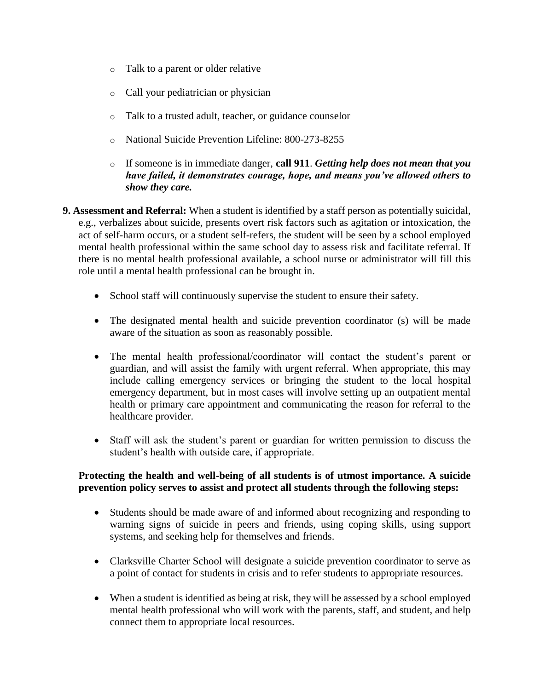- o Talk to a parent or older relative
- o Call your pediatrician or physician
- o Talk to a trusted adult, teacher, or guidance counselor
- o National Suicide Prevention Lifeline: 800-273-8255
- o If someone is in immediate danger, **call 911**. *Getting help does not mean that you have failed, it demonstrates courage, hope, and means you've allowed others to show they care.*
- **9. Assessment and Referral:** When a student is identified by a staff person as potentially suicidal, e.g., verbalizes about suicide, presents overt risk factors such as agitation or intoxication, the act of self-harm occurs, or a student self-refers, the student will be seen by a school employed mental health professional within the same school day to assess risk and facilitate referral. If there is no mental health professional available, a school nurse or administrator will fill this role until a mental health professional can be brought in.
	- School staff will continuously supervise the student to ensure their safety.
	- The designated mental health and suicide prevention coordinator (s) will be made aware of the situation as soon as reasonably possible.
	- The mental health professional/coordinator will contact the student's parent or guardian, and will assist the family with urgent referral. When appropriate, this may include calling emergency services or bringing the student to the local hospital emergency department, but in most cases will involve setting up an outpatient mental health or primary care appointment and communicating the reason for referral to the healthcare provider.
	- Staff will ask the student's parent or guardian for written permission to discuss the student's health with outside care, if appropriate.

## **Protecting the health and well-being of all students is of utmost importance. A suicide prevention policy serves to assist and protect all students through the following steps:**

- Students should be made aware of and informed about recognizing and responding to warning signs of suicide in peers and friends, using coping skills, using support systems, and seeking help for themselves and friends.
- Clarksville Charter School will designate a suicide prevention coordinator to serve as a point of contact for students in crisis and to refer students to appropriate resources.
- When a student is identified as being at risk, they will be assessed by a school employed mental health professional who will work with the parents, staff, and student, and help connect them to appropriate local resources.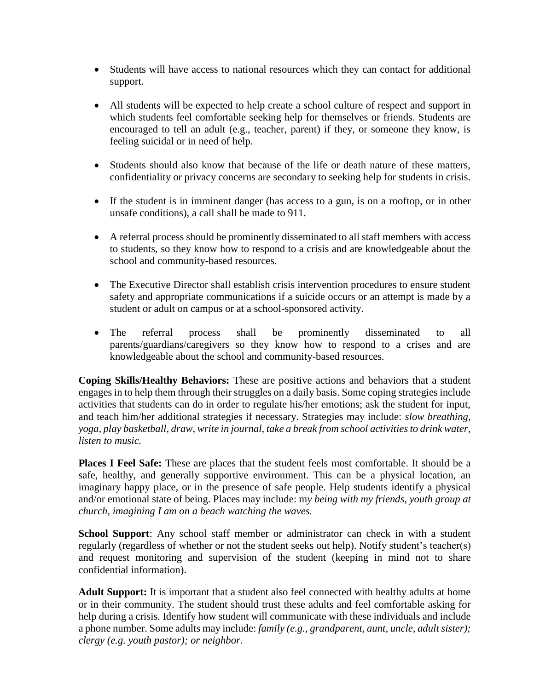- Students will have access to national resources which they can contact for additional support.
- All students will be expected to help create a school culture of respect and support in which students feel comfortable seeking help for themselves or friends. Students are encouraged to tell an adult (e.g., teacher, parent) if they, or someone they know, is feeling suicidal or in need of help.
- Students should also know that because of the life or death nature of these matters, confidentiality or privacy concerns are secondary to seeking help for students in crisis.
- If the student is in imminent danger (has access to a gun, is on a rooftop, or in other unsafe conditions), a call shall be made to 911.
- A referral process should be prominently disseminated to all staff members with access to students, so they know how to respond to a crisis and are knowledgeable about the school and community-based resources.
- The Executive Director shall establish crisis intervention procedures to ensure student safety and appropriate communications if a suicide occurs or an attempt is made by a student or adult on campus or at a school-sponsored activity.
- The referral process shall be prominently disseminated to all parents/guardians/caregivers so they know how to respond to a crises and are knowledgeable about the school and community-based resources.

**Coping Skills/Healthy Behaviors:** These are positive actions and behaviors that a student engages in to help them through their struggles on a daily basis. Some coping strategies include activities that students can do in order to regulate his/her emotions; ask the student for input, and teach him/her additional strategies if necessary. Strategies may include: *slow breathing, yoga, play basketball, draw, write in journal, take a break from school activities to drink water, listen to music.*

**Places I Feel Safe:** These are places that the student feels most comfortable. It should be a safe, healthy, and generally supportive environment. This can be a physical location, an imaginary happy place, or in the presence of safe people. Help students identify a physical and/or emotional state of being. Places may include: m*y being with my friends, youth group at church, imagining I am on a beach watching the waves.*

**School Support**: Any school staff member or administrator can check in with a student regularly (regardless of whether or not the student seeks out help). Notify student's teacher(s) and request monitoring and supervision of the student (keeping in mind not to share confidential information).

**Adult Support:** It is important that a student also feel connected with healthy adults at home or in their community. The student should trust these adults and feel comfortable asking for help during a crisis. Identify how student will communicate with these individuals and include a phone number. Some adults may include: *family (e.g., grandparent, aunt, uncle, adult sister); clergy (e.g. youth pastor); or neighbor.*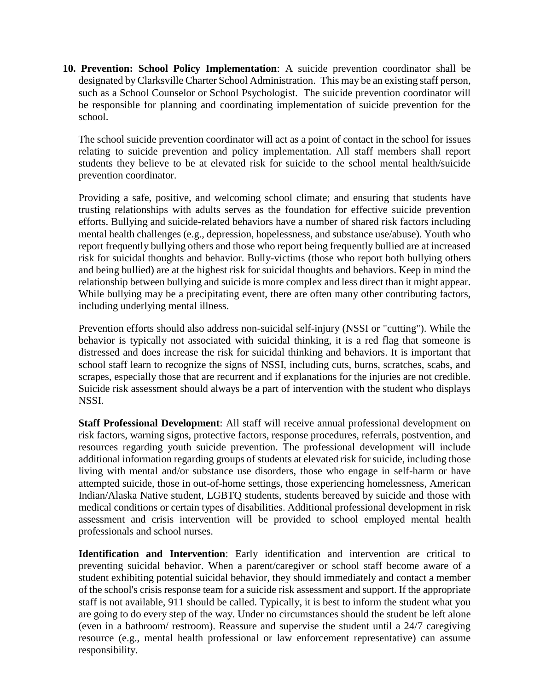**10. Prevention: School Policy Implementation**: A suicide prevention coordinator shall be designated by Clarksville Charter School Administration. This may be an existing staff person, such as a School Counselor or School Psychologist. The suicide prevention coordinator will be responsible for planning and coordinating implementation of suicide prevention for the school.

The school suicide prevention coordinator will act as a point of contact in the school for issues relating to suicide prevention and policy implementation. All staff members shall report students they believe to be at elevated risk for suicide to the school mental health/suicide prevention coordinator.

Providing a safe, positive, and welcoming school climate; and ensuring that students have trusting relationships with adults serves as the foundation for effective suicide prevention efforts. Bullying and suicide-related behaviors have a number of shared risk factors including mental health challenges (e.g., depression, hopelessness, and substance use/abuse). Youth who report frequently bullying others and those who report being frequently bullied are at increased risk for suicidal thoughts and behavior. Bully-victims (those who report both bullying others and being bullied) are at the highest risk for suicidal thoughts and behaviors. Keep in mind the relationship between bullying and suicide is more complex and less direct than it might appear. While bullying may be a precipitating event, there are often many other contributing factors, including underlying mental illness.

Prevention efforts should also address non-suicidal self-injury (NSSI or "cutting"). While the behavior is typically not associated with suicidal thinking, it is a red flag that someone is distressed and does increase the risk for suicidal thinking and behaviors. It is important that school staff learn to recognize the signs of NSSI, including cuts, burns, scratches, scabs, and scrapes, especially those that are recurrent and if explanations for the injuries are not credible. Suicide risk assessment should always be a part of intervention with the student who displays NSSI.

**Staff Professional Development**: All staff will receive annual professional development on risk factors, warning signs, protective factors, response procedures, referrals, postvention, and resources regarding youth suicide prevention. The professional development will include additional information regarding groups of students at elevated risk for suicide, including those living with mental and/or substance use disorders, those who engage in self-harm or have attempted suicide, those in out-of-home settings, those experiencing homelessness, American Indian/Alaska Native student, LGBTQ students, students bereaved by suicide and those with medical conditions or certain types of disabilities. Additional professional development in risk assessment and crisis intervention will be provided to school employed mental health professionals and school nurses.

**Identification and Intervention**: Early identification and intervention are critical to preventing suicidal behavior. When a parent/caregiver or school staff become aware of a student exhibiting potential suicidal behavior, they should immediately and contact a member of the school's crisis response team for a suicide risk assessment and support. If the appropriate staff is not available, 911 should be called. Typically, it is best to inform the student what you are going to do every step of the way. Under no circumstances should the student be left alone (even in a bathroom/ restroom). Reassure and supervise the student until a 24/7 caregiving resource (e.g., mental health professional or law enforcement representative) can assume responsibility.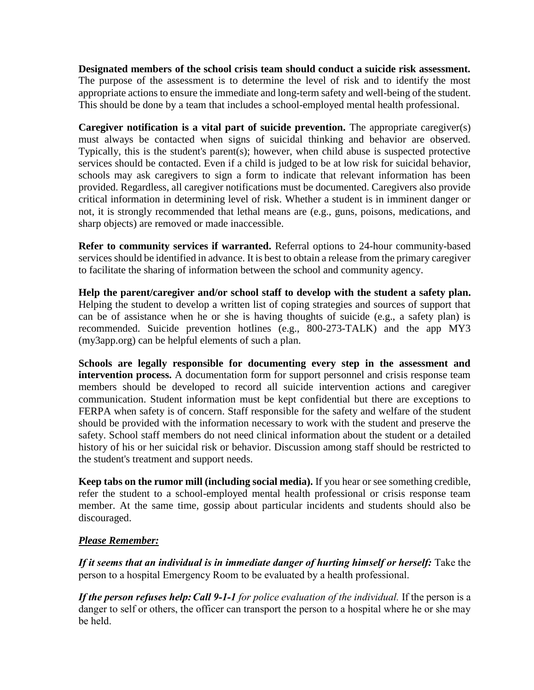**Designated members of the school crisis team should conduct a suicide risk assessment.**  The purpose of the assessment is to determine the level of risk and to identify the most appropriate actions to ensure the immediate and long-term safety and well-being of the student. This should be done by a team that includes a school-employed mental health professional.

**Caregiver notification is a vital part of suicide prevention.** The appropriate caregiver(s) must always be contacted when signs of suicidal thinking and behavior are observed. Typically, this is the student's parent(s); however, when child abuse is suspected protective services should be contacted. Even if a child is judged to be at low risk for suicidal behavior, schools may ask caregivers to sign a form to indicate that relevant information has been provided. Regardless, all caregiver notifications must be documented. Caregivers also provide critical information in determining level of risk. Whether a student is in imminent danger or not, it is strongly recommended that lethal means are (e.g., guns, poisons, medications, and sharp objects) are removed or made inaccessible.

**Refer to community services if warranted.** Referral options to 24-hour community-based services should be identified in advance. It is best to obtain a release from the primary caregiver to facilitate the sharing of information between the school and community agency.

**Help the parent/caregiver and/or school staff to develop with the student a safety plan.**  Helping the student to develop a written list of coping strategies and sources of support that can be of assistance when he or she is having thoughts of suicide (e.g., a safety plan) is recommended. Suicide prevention hotlines (e.g., 800-273-TALK) and the app MY3 (my3app.org) can be helpful elements of such a plan.

**Schools are legally responsible for documenting every step in the assessment and intervention process.** A documentation form for support personnel and crisis response team members should be developed to record all suicide intervention actions and caregiver communication. Student information must be kept confidential but there are exceptions to FERPA when safety is of concern. Staff responsible for the safety and welfare of the student should be provided with the information necessary to work with the student and preserve the safety. School staff members do not need clinical information about the student or a detailed history of his or her suicidal risk or behavior. Discussion among staff should be restricted to the student's treatment and support needs.

**Keep tabs on the rumor mill (including social media).** If you hear or see something credible, refer the student to a school-employed mental health professional or crisis response team member. At the same time, gossip about particular incidents and students should also be discouraged.

# *Please Remember:*

*If it seems that an individual is in immediate danger of hurting himself or herself:* Take the person to a hospital Emergency Room to be evaluated by a health professional.

*If the person refuses help:Call 9-1-1 for police evaluation of the individual.* If the person is a danger to self or others, the officer can transport the person to a hospital where he or she may be held.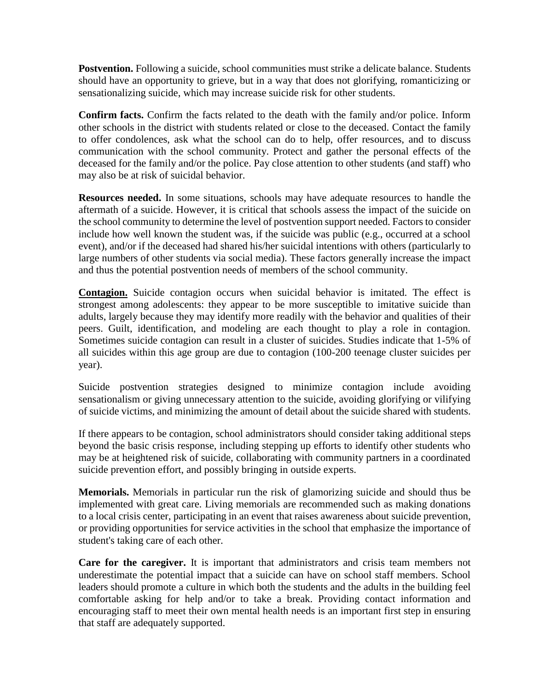**Postvention.** Following a suicide, school communities must strike a delicate balance. Students should have an opportunity to grieve, but in a way that does not glorifying, romanticizing or sensationalizing suicide, which may increase suicide risk for other students.

**Confirm facts.** Confirm the facts related to the death with the family and/or police. Inform other schools in the district with students related or close to the deceased. Contact the family to offer condolences, ask what the school can do to help, offer resources, and to discuss communication with the school community. Protect and gather the personal effects of the deceased for the family and/or the police. Pay close attention to other students (and staff) who may also be at risk of suicidal behavior.

**Resources needed.** In some situations, schools may have adequate resources to handle the aftermath of a suicide. However, it is critical that schools assess the impact of the suicide on the school community to determine the level of postvention support needed. Factors to consider include how well known the student was, if the suicide was public (e.g., occurred at a school event), and/or if the deceased had shared his/her suicidal intentions with others (particularly to large numbers of other students via social media). These factors generally increase the impact and thus the potential postvention needs of members of the school community.

**Contagion.** Suicide contagion occurs when suicidal behavior is imitated. The effect is strongest among adolescents: they appear to be more susceptible to imitative suicide than adults, largely because they may identify more readily with the behavior and qualities of their peers. Guilt, identification, and modeling are each thought to play a role in contagion. Sometimes suicide contagion can result in a cluster of suicides. Studies indicate that 1-5% of all suicides within this age group are due to contagion (100-200 teenage cluster suicides per year).

Suicide postvention strategies designed to minimize contagion include avoiding sensationalism or giving unnecessary attention to the suicide, avoiding glorifying or vilifying of suicide victims, and minimizing the amount of detail about the suicide shared with students.

If there appears to be contagion, school administrators should consider taking additional steps beyond the basic crisis response, including stepping up efforts to identify other students who may be at heightened risk of suicide, collaborating with community partners in a coordinated suicide prevention effort, and possibly bringing in outside experts.

**Memorials.** Memorials in particular run the risk of glamorizing suicide and should thus be implemented with great care. Living memorials are recommended such as making donations to a local crisis center, participating in an event that raises awareness about suicide prevention, or providing opportunities for service activities in the school that emphasize the importance of student's taking care of each other.

**Care for the caregiver.** It is important that administrators and crisis team members not underestimate the potential impact that a suicide can have on school staff members. School leaders should promote a culture in which both the students and the adults in the building feel comfortable asking for help and/or to take a break. Providing contact information and encouraging staff to meet their own mental health needs is an important first step in ensuring that staff are adequately supported.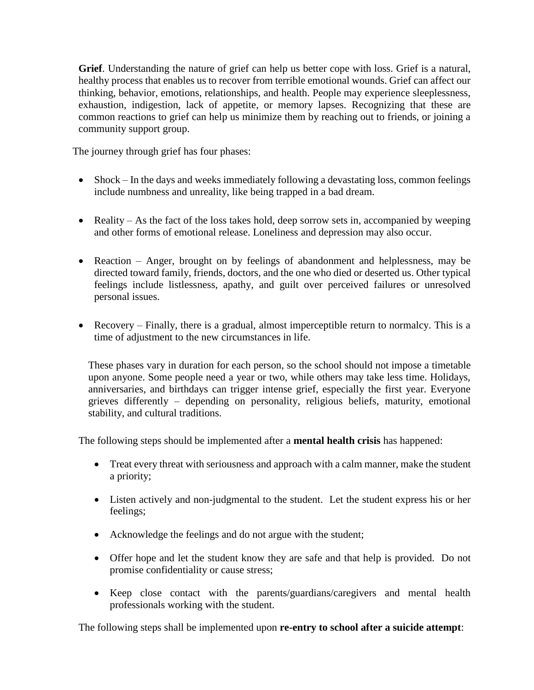**Grief**. Understanding the nature of grief can help us better cope with loss. Grief is a natural, healthy process that enables us to recover from terrible emotional wounds. Grief can affect our thinking, behavior, emotions, relationships, and health. People may experience sleeplessness, exhaustion, indigestion, lack of appetite, or memory lapses. Recognizing that these are common reactions to grief can help us minimize them by reaching out to friends, or joining a community support group.

The journey through grief has four phases:

- Shock In the days and weeks immediately following a devastating loss, common feelings include numbness and unreality, like being trapped in a bad dream.
- Reality As the fact of the loss takes hold, deep sorrow sets in, accompanied by weeping and other forms of emotional release. Loneliness and depression may also occur.
- Reaction Anger, brought on by feelings of abandonment and helplessness, may be directed toward family, friends, doctors, and the one who died or deserted us. Other typical feelings include listlessness, apathy, and guilt over perceived failures or unresolved personal issues.
- Recovery Finally, there is a gradual, almost imperceptible return to normalcy. This is a time of adjustment to the new circumstances in life.

These phases vary in duration for each person, so the school should not impose a timetable upon anyone. Some people need a year or two, while others may take less time. Holidays, anniversaries, and birthdays can trigger intense grief, especially the first year. Everyone grieves differently – depending on personality, religious beliefs, maturity, emotional stability, and cultural traditions.

The following steps should be implemented after a **mental health crisis** has happened:

- Treat every threat with seriousness and approach with a calm manner, make the student a priority;
- Listen actively and non-judgmental to the student. Let the student express his or her feelings;
- Acknowledge the feelings and do not argue with the student;
- Offer hope and let the student know they are safe and that help is provided. Do not promise confidentiality or cause stress;
- Keep close contact with the parents/guardians/caregivers and mental health professionals working with the student.

The following steps shall be implemented upon **re-entry to school after a suicide attempt**: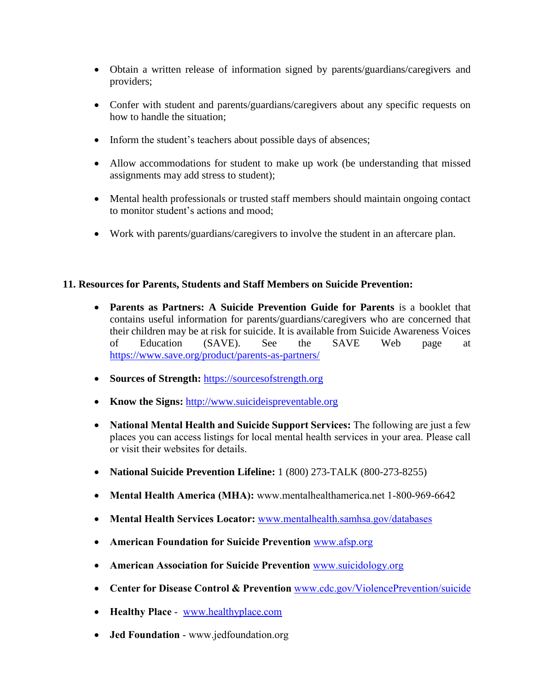- Obtain a written release of information signed by parents/guardians/caregivers and providers;
- Confer with student and parents/guardians/caregivers about any specific requests on how to handle the situation;
- Inform the student's teachers about possible days of absences;
- Allow accommodations for student to make up work (be understanding that missed assignments may add stress to student);
- Mental health professionals or trusted staff members should maintain ongoing contact to monitor student's actions and mood;
- Work with parents/guardians/caregivers to involve the student in an aftercare plan.

# **11. Resources for Parents, Students and Staff Members on Suicide Prevention:**

- **Parents as Partners: A Suicide Prevention Guide for Parents** is a booklet that contains useful information for parents/guardians/caregivers who are concerned that their children may be at risk for suicide. It is available from Suicide Awareness Voices of Education (SAVE). See the SAVE Web page at <https://www.save.org/product/parents-as-partners/>
- Sources of Strength: [https://sourcesofstrength.org](https://sourcesofstrength.org/)
- Know the Signs: [http://www.suicideispreventable.org](http://www.suicideispreventable.org/)
- **National Mental Health and Suicide Support Services:** The following are just a few places you can access listings for local mental health services in your area. Please call or visit their websites for details.
- **National Suicide Prevention Lifeline:** 1 (800) 273-TALK (800-273-8255)
- **Mental Health America (MHA):** www.mentalhealthamerica.net 1-800-969-6642
- **Mental Health Services Locator:** [www.mentalhealth.samhsa.gov/databases](http://www.mentalhealth.samhsa.gov/databases)
- **American Foundation for Suicide Prevention** [www.afsp.org](http://www.afsp.org/)
- **American Association for Suicide Prevention** [www.suicidology.org](http://www.suicidology.org/)
- **Center for Disease Control & Prevention** [www.cdc.gov/ViolencePrevention/suicide](http://www.cdc.gov/ViolencePrevention/suicide)
- **Healthy Place** [www.healthyplace.com](http://www.healthyplace.com/)
- **Jed Foundation** www.jedfoundation.org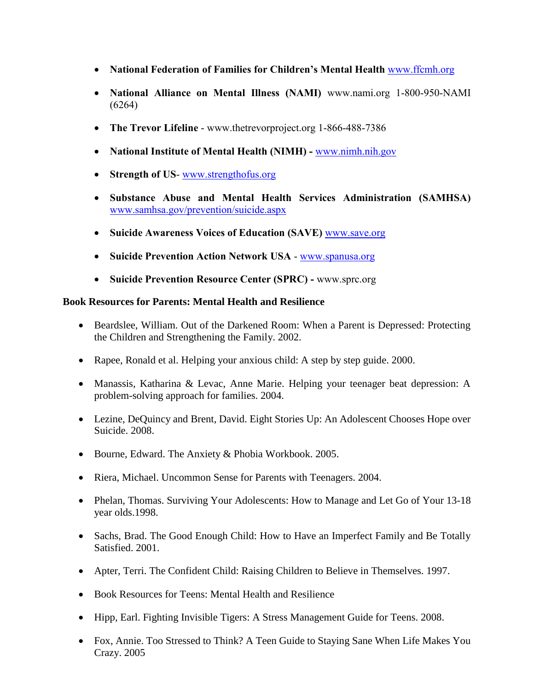- **National Federation of Families for Children's Mental Health** [www.ffcmh.org](http://www.ffcmh.org/)
- **National Alliance on Mental Illness (NAMI)** www.nami.org 1-800-950-NAMI (6264)
- **The Trevor Lifeline** www.thetrevorproject.org 1-866-488-7386
- **National Institute of Mental Health (NIMH) -** [www.nimh.nih.gov](http://www.nimh.nih.gov/)
- **Strength of US-** [www.strengthofus.org](http://www.strengthofus.org/)
- **Substance Abuse and Mental Health Services Administration (SAMHSA)**  [www.samhsa.gov/prevention/suicide.aspx](http://www.samhsa.gov/prevention/suicide.aspx)
- **Suicide Awareness Voices of Education (SAVE)** [www.save.org](http://www.save.org/)
- **Suicide Prevention Action Network USA** [www.spanusa.org](http://www.spanusa.org/)
- **Suicide Prevention Resource Center (SPRC) -** www.sprc.org

## **Book Resources for Parents: Mental Health and Resilience**

- Beardslee, William. Out of the Darkened Room: When a Parent is Depressed: Protecting the Children and Strengthening the Family. 2002.
- Rapee, Ronald et al. Helping your anxious child: A step by step guide. 2000.
- Manassis, Katharina & Levac, Anne Marie. Helping your teenager beat depression: A problem-solving approach for families. 2004.
- Lezine, DeQuincy and Brent, David. Eight Stories Up: An Adolescent Chooses Hope over Suicide. 2008.
- Bourne, Edward. The Anxiety & Phobia Workbook. 2005.
- Riera, Michael. Uncommon Sense for Parents with Teenagers. 2004.
- Phelan, Thomas. Surviving Your Adolescents: How to Manage and Let Go of Your 13-18 year olds.1998.
- Sachs, Brad. The Good Enough Child: How to Have an Imperfect Family and Be Totally Satisfied. 2001.
- Apter, Terri. The Confident Child: Raising Children to Believe in Themselves. 1997.
- Book Resources for Teens: Mental Health and Resilience
- Hipp, Earl. Fighting Invisible Tigers: A Stress Management Guide for Teens. 2008.
- Fox, Annie. Too Stressed to Think? A Teen Guide to Staying Sane When Life Makes You Crazy. 2005